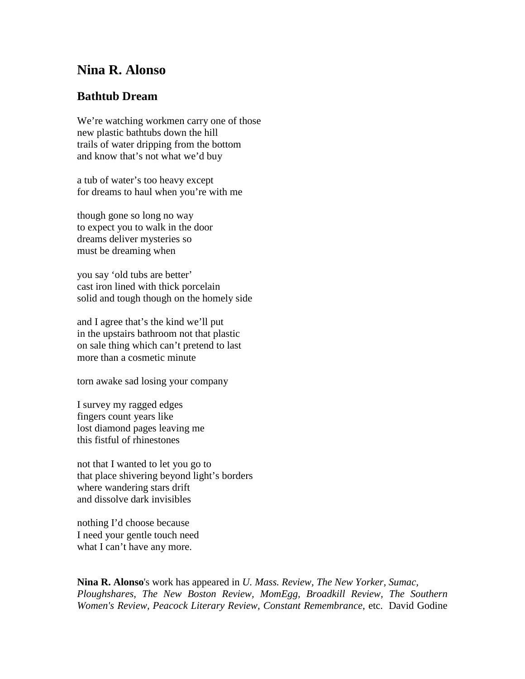## **Nina R. Alonso**

## **Bathtub Dream**

We're watching workmen carry one of those new plastic bathtubs down the hill trails of water dripping from the bottom and know that's not what we'd buy

a tub of water's too heavy except for dreams to haul when you're with me

though gone so long no way to expect you to walk in the door dreams deliver mysteries so must be dreaming when

you say 'old tubs are better' cast iron lined with thick porcelain solid and tough though on the homely side

and I agree that's the kind we'll put in the upstairs bathroom not that plastic on sale thing which can't pretend to last more than a cosmetic minute

torn awake sad losing your company

I survey my ragged edges fingers count years like lost diamond pages leaving me this fistful of rhinestones

not that I wanted to let you go to that place shivering beyond light's borders where wandering stars drift and dissolve dark invisibles

nothing I'd choose because I need your gentle touch need what I can't have any more.

**Nina R. Alonso**'s work has appeared in *U. Mass. Review, The New Yorker, Sumac, Ploughshares, The New Boston Review, MomEgg, Broadkill Review, The Southern Women's Review, Peacock Literary Review, Constant Remembrance*, etc. David Godine